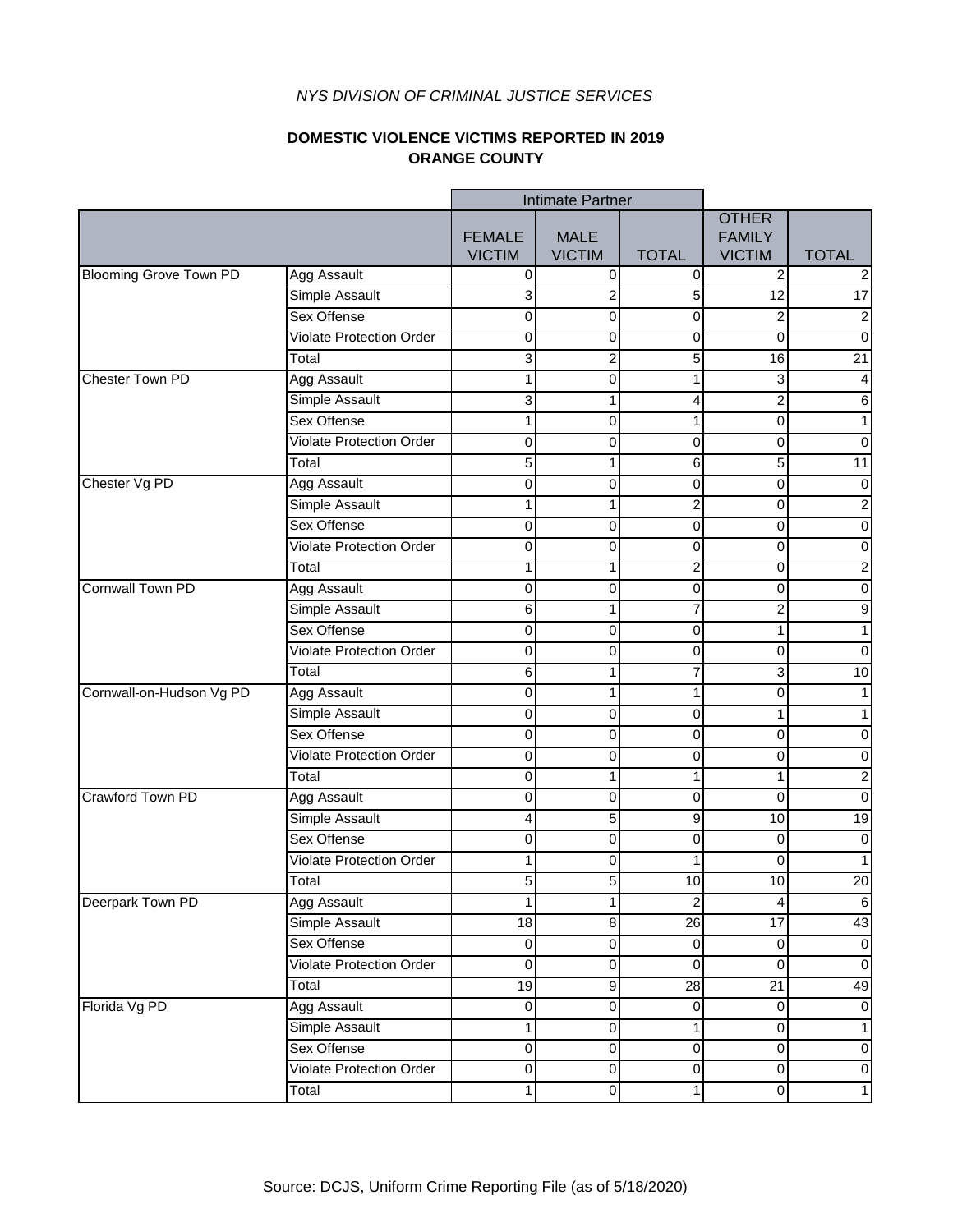### **DOMESTIC VIOLENCE VICTIMS REPORTED IN 2019 ORANGE COUNTY**

|                               |                                 | Intimate Partner               |                              |                         |                                                |                         |
|-------------------------------|---------------------------------|--------------------------------|------------------------------|-------------------------|------------------------------------------------|-------------------------|
|                               |                                 | <b>FEMALE</b><br><b>VICTIM</b> | <b>MALE</b><br><b>VICTIM</b> | <b>TOTAL</b>            | <b>OTHER</b><br><b>FAMILY</b><br><b>VICTIM</b> | <b>TOTAL</b>            |
| <b>Blooming Grove Town PD</b> | <b>Agg Assault</b>              | 0                              | 0                            | 0                       | 2                                              | $\overline{2}$          |
|                               | Simple Assault                  | 3                              | 2                            | 5                       | $\overline{12}$                                | $\overline{17}$         |
|                               | Sex Offense                     | 0                              | 0                            | 0                       | 2                                              | $\overline{2}$          |
|                               | <b>Violate Protection Order</b> | 0                              | 0                            | 0                       | 0                                              | $\pmb{0}$               |
|                               | Total                           | 3                              | $\overline{\mathbf{c}}$      | 5                       | 16                                             | 21                      |
| Chester Town PD               | <b>Agg Assault</b>              | 1                              | 0                            | 1                       | 3                                              | $\overline{\mathbf{4}}$ |
|                               | Simple Assault                  | 3                              | 1                            | 4                       | $\overline{c}$                                 | $\,6$                   |
|                               | Sex Offense                     | 1                              | 0                            | 1                       | 0                                              | $\overline{1}$          |
|                               | <b>Violate Protection Order</b> | 0                              | 0                            | $\pmb{0}$               | $\mathbf 0$                                    | $\overline{0}$          |
|                               | Total                           | 5                              | 1                            | 6                       | 5                                              | 11                      |
| Chester Vg PD                 | <b>Agg Assault</b>              | 0                              | 0                            | 0                       | $\mathbf 0$                                    | $\pmb{0}$               |
|                               | Simple Assault                  | 1                              | 1                            | 2                       | 0                                              | $\overline{\mathbf{c}}$ |
|                               | Sex Offense                     | 0                              | 0                            | $\pmb{0}$               | $\pmb{0}$                                      | $\pmb{0}$               |
|                               | <b>Violate Protection Order</b> | 0                              | 0                            | 0                       | 0                                              | $\overline{0}$          |
|                               | Total                           | 1                              | 1                            | 2                       | $\overline{0}$                                 | $\overline{2}$          |
| <b>Cornwall Town PD</b>       | <b>Agg Assault</b>              | 0                              | 0                            | 0                       | 0                                              | $\overline{0}$          |
|                               | Simple Assault                  | 6                              | 1                            | 7                       | $\overline{c}$                                 | $\boldsymbol{9}$        |
|                               | Sex Offense                     | 0                              | 0                            | 0                       | 1                                              | $\mathbf{1}$            |
|                               | <b>Violate Protection Order</b> | $\mathbf 0$                    | 0                            | 0                       | $\mathbf 0$                                    | $\pmb{0}$               |
|                               | Total                           | 6                              | 1                            | 7                       | 3                                              | 10                      |
| Cornwall-on-Hudson Vg PD      | <b>Agg Assault</b>              | 0                              | 1                            | 1                       | $\pmb{0}$                                      | $\mathbf 1$             |
|                               | Simple Assault                  | 0                              | 0                            | 0                       | 1                                              | $\mathbf 1$             |
|                               | Sex Offense                     | 0                              | 0                            | 0                       | 0                                              | $\pmb{0}$               |
|                               | <b>Violate Protection Order</b> | 0                              | 0                            | 0                       | 0                                              | $\pmb{0}$               |
|                               | Total                           | 0                              | 1                            | 1                       | $\mathbf{1}$                                   | $\overline{2}$          |
| Crawford Town PD              | Agg Assault                     | 0                              | 0                            | 0                       | $\mathbf 0$                                    | $\pmb{0}$               |
|                               | Simple Assault                  | 4                              | 5                            | 9                       | 10                                             | 19                      |
|                               | Sex Offense                     | 0                              | 0                            | 0                       | $\mathbf 0$                                    | $\pmb{0}$               |
|                               | <b>Violate Protection Order</b> | 1                              | 0                            |                         | 0                                              | $\overline{1}$          |
|                               | Total                           | 5                              | 5                            | 10                      | 10                                             | 20                      |
| Deerpark Town PD              | Agg Assault                     | 1                              | 1                            | $\overline{\mathbf{c}}$ | 4                                              | $\,6\,$                 |
|                               | Simple Assault                  | 18                             | 8                            | 26                      | 17                                             | 43                      |
|                               | Sex Offense                     | $\pmb{0}$                      | $\pmb{0}$                    | $\pmb{0}$               | $\pmb{0}$                                      | $\pmb{0}$               |
|                               | <b>Violate Protection Order</b> | $\overline{0}$                 | $\overline{0}$               | $\overline{0}$          | $\pmb{0}$                                      | $\overline{0}$          |
|                               | Total                           | 19                             | 9                            | 28                      | 21                                             | 49                      |
| Florida Vg PD                 | Agg Assault                     | 0                              | $\mathbf 0$                  | $\pmb{0}$               | $\pmb{0}$                                      | $\pmb{0}$               |
|                               | Simple Assault                  | $\mathbf 1$                    | $\mathbf 0$                  | 1                       | $\pmb{0}$                                      | $\mathbf 1$             |
|                               | Sex Offense                     | 0                              | $\mathbf 0$                  | $\pmb{0}$               | $\mathbf 0$                                    | $\pmb{0}$               |
|                               | <b>Violate Protection Order</b> | 0                              | 0                            | 0                       | $\pmb{0}$                                      | $\pmb{0}$               |
|                               | Total                           | 1                              | $\overline{0}$               | 1                       | $\overline{0}$                                 | $\mathbf{1}$            |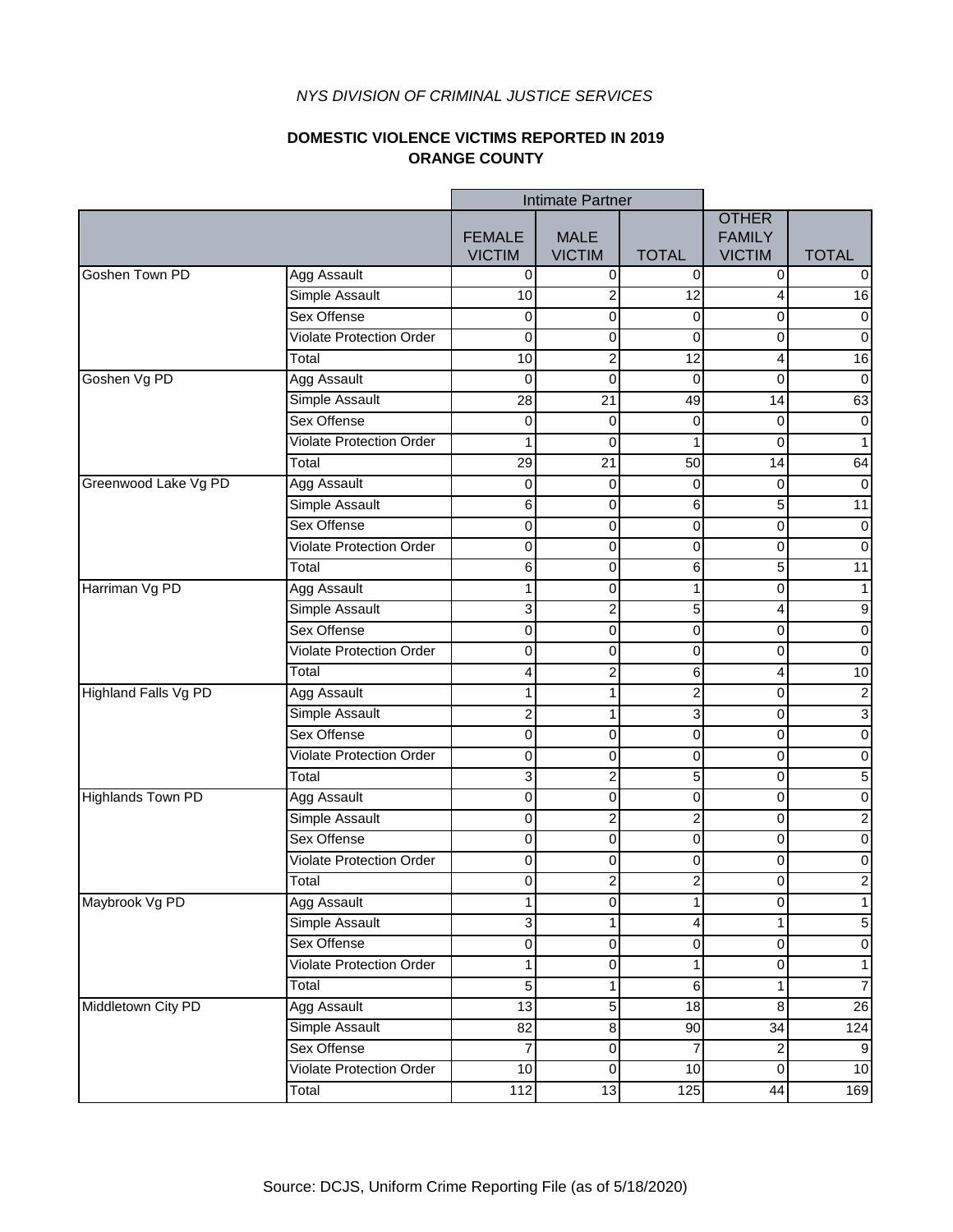### **DOMESTIC VIOLENCE VICTIMS REPORTED IN 2019 ORANGE COUNTY**

|                             |                                 | Intimate Partner               |                              |                         |                                                |                  |
|-----------------------------|---------------------------------|--------------------------------|------------------------------|-------------------------|------------------------------------------------|------------------|
|                             |                                 | <b>FEMALE</b><br><b>VICTIM</b> | <b>MALE</b><br><b>VICTIM</b> | <b>TOTAL</b>            | <b>OTHER</b><br><b>FAMILY</b><br><b>VICTIM</b> | <b>TOTAL</b>     |
| Goshen Town PD              | <b>Agg Assault</b>              | $\pmb{0}$                      | $\boldsymbol{0}$             | 0                       | $\overline{0}$                                 | 0                |
|                             | Simple Assault                  | 10                             | 2                            | 12                      | 4                                              | 16               |
|                             | Sex Offense                     | $\pmb{0}$                      | 0                            | $\boldsymbol{0}$        | 0                                              | $\overline{0}$   |
|                             | <b>Violate Protection Order</b> | 0                              | 0                            | 0                       | 0                                              | $\boldsymbol{0}$ |
|                             | Total                           | 10                             | 2                            | 12                      | 4                                              | 16               |
| Goshen Vg PD                | Agg Assault                     | 0                              | $\mathbf 0$                  | $\mathbf 0$             | 0                                              | $\boldsymbol{0}$ |
|                             | Simple Assault                  | 28                             | $\overline{21}$              | 49                      | 14                                             | 63               |
|                             | <b>Sex Offense</b>              | 0                              | 0                            | 0                       | $\pmb{0}$                                      | $\pmb{0}$        |
|                             | <b>Violate Protection Order</b> | 1                              | $\mathbf 0$                  | 1                       | $\overline{0}$                                 | $\mathbf 1$      |
|                             | Total                           | 29                             | $\overline{21}$              | $\overline{50}$         | 14                                             | 64               |
| Greenwood Lake Vg PD        | Agg Assault                     | $\pmb{0}$                      | 0                            | $\boldsymbol{0}$        | $\pmb{0}$                                      | $\pmb{0}$        |
|                             | Simple Assault                  | 6                              | 0                            | 6                       | 5                                              | 11               |
|                             | Sex Offense                     | $\mathbf 0$                    | $\pmb{0}$                    | $\pmb{0}$               | $\pmb{0}$                                      | $\pmb{0}$        |
|                             | <b>Violate Protection Order</b> | 0                              | 0                            | $\boldsymbol{0}$        | $\pmb{0}$                                      | $\overline{0}$   |
|                             | Total                           | 6                              | 0                            | 6                       | 5                                              | $\overline{11}$  |
| Harriman Vg PD              | <b>Agg Assault</b>              | $\mathbf{1}$                   | 0                            | 1                       | 0                                              | $\overline{1}$   |
|                             | Simple Assault                  | 3                              | $\overline{\mathbf{c}}$      | 5                       | $\overline{4}$                                 | $\boldsymbol{9}$ |
|                             | <b>Sex Offense</b>              | 0                              | 0                            | $\boldsymbol{0}$        | 0                                              | $\mathbf 0$      |
|                             | <b>Violate Protection Order</b> | 0                              | 0                            | $\mathbf 0$             | 0                                              | $\boldsymbol{0}$ |
|                             | Total                           | 4                              | $\overline{\mathbf{c}}$      | 6                       | 4                                              | 10               |
| <b>Highland Falls Vg PD</b> | <b>Agg Assault</b>              | 1                              | 1                            | $\overline{c}$          | 0                                              | $\overline{2}$   |
|                             | <b>Simple Assault</b>           | $\overline{\mathbf{c}}$        | 1                            | 3                       | $\overline{\mathsf{o}}$                        | $\overline{3}$   |
|                             | Sex Offense                     | 0                              | 0                            | $\pmb{0}$               | 0                                              | $\overline{0}$   |
|                             | <b>Violate Protection Order</b> | 0                              | $\pmb{0}$                    | $\boldsymbol{0}$        | 0                                              | $\mathbf 0$      |
|                             | Total                           | 3                              | $\overline{c}$               | $\mathbf 5$             | $\pmb{0}$                                      | $\mathbf 5$      |
| <b>Highlands Town PD</b>    | Agg Assault                     | $\pmb{0}$                      | $\pmb{0}$                    | $\pmb{0}$               | $\pmb{0}$                                      | $\overline{0}$   |
|                             | Simple Assault                  | 0                              | $\overline{\mathbf{c}}$      | $\overline{\mathbf{c}}$ | 0                                              | $\overline{2}$   |
|                             | <b>Sex Offense</b>              | $\pmb{0}$                      | 0                            | $\boldsymbol{0}$        | 0                                              | $\overline{0}$   |
|                             | <b>Violate Protection Order</b> | 0                              | 0                            | $\mathbf 0$             | 0                                              | $\overline{0}$   |
|                             | Total                           | 0                              | 2                            | $\overline{2}$          | $\Omega$                                       | $\overline{c}$   |
| Maybrook Vg PD              | Agg Assault                     | $\mathbf 1$                    | 0                            | 1                       | 0                                              | $\mathbf{1}$     |
|                             | Simple Assault                  | 3                              | 1                            | 4                       | 1                                              | $\mathbf 5$      |
|                             | Sex Offense                     | 0                              | $\pmb{0}$                    | $\pmb{0}$               | 0                                              | $\pmb{0}$        |
|                             | <b>Violate Protection Order</b> | 1                              | $\pmb{0}$                    | 1                       | $\overline{\mathsf{o}}$                        | $\mathbf{1}$     |
|                             | Total                           | 5                              | 1                            | $\overline{6}$          | $\overline{\phantom{a}}$                       | $\overline{7}$   |
| Middletown City PD          | <b>Agg Assault</b>              | $\overline{13}$                | 5                            | 18                      | $\bf8$                                         | $\overline{26}$  |
|                             | Simple Assault                  | 82                             | 8                            | 90                      | 34                                             | 124              |
|                             | Sex Offense                     | 7                              | $\pmb{0}$                    | 7                       | $\overline{c}$                                 | $\boldsymbol{9}$ |
|                             | <b>Violate Protection Order</b> | $10$                           | 0                            | 10                      | $\pmb{0}$                                      | 10               |
|                             | Total                           | 112                            | $\overline{13}$              | 125                     | 44                                             | 169              |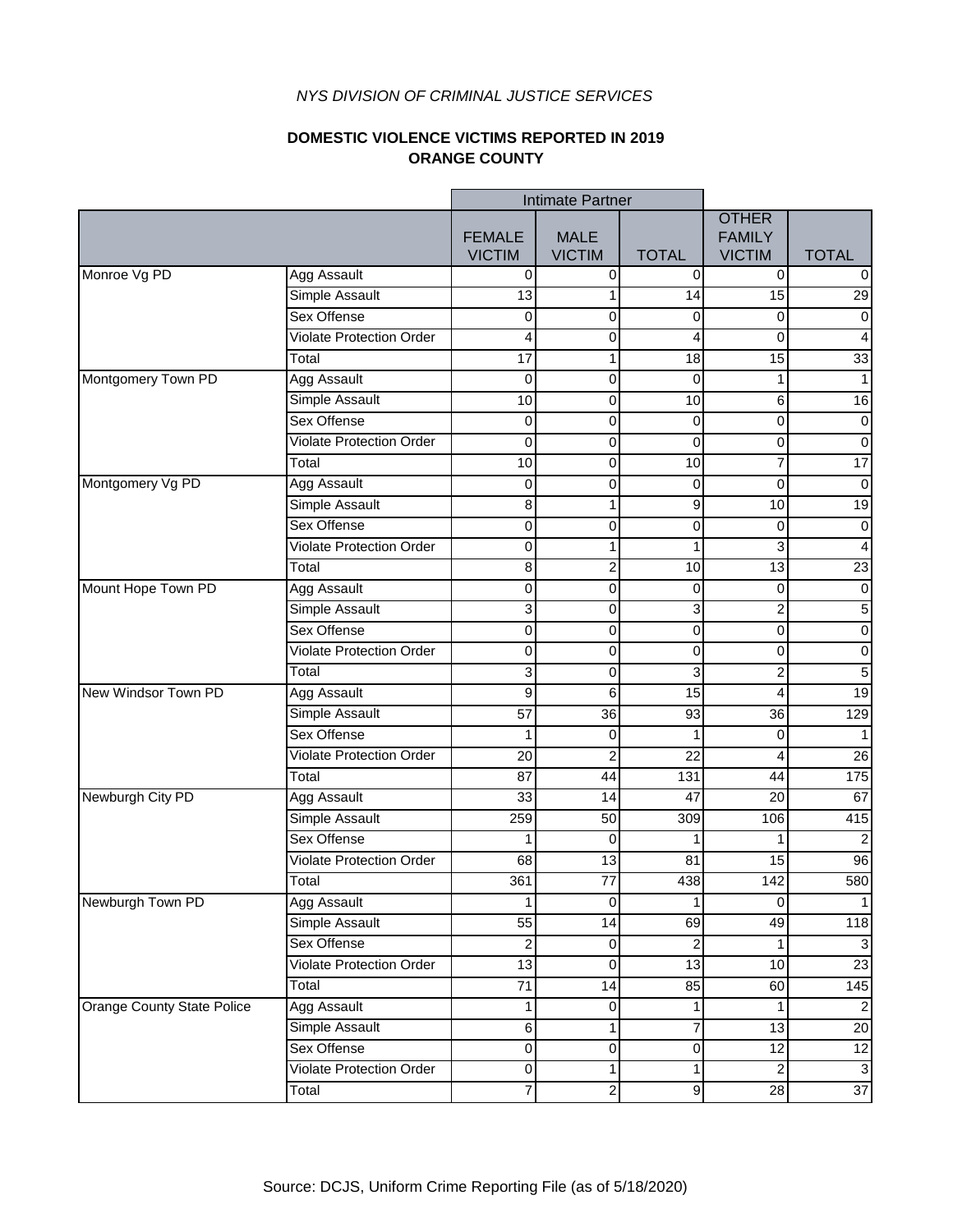### **DOMESTIC VIOLENCE VICTIMS REPORTED IN 2019 ORANGE COUNTY**

|                            |                                 | Intimate Partner               |                              |                         |                                                |                           |
|----------------------------|---------------------------------|--------------------------------|------------------------------|-------------------------|------------------------------------------------|---------------------------|
|                            |                                 | <b>FEMALE</b><br><b>VICTIM</b> | <b>MALE</b><br><b>VICTIM</b> | <b>TOTAL</b>            | <b>OTHER</b><br><b>FAMILY</b><br><b>VICTIM</b> | <b>TOTAL</b>              |
| Monroe Vg PD               | <b>Agg Assault</b>              | $\mathbf 0$                    | 0                            | 0                       | $\Omega$                                       | 0                         |
|                            | Simple Assault                  | 13                             | 1                            | 14                      | 15                                             | $\overline{29}$           |
|                            | Sex Offense                     | $\pmb{0}$                      | 0                            | $\mathbf 0$             | 0                                              | $\overline{0}$            |
|                            | <b>Violate Protection Order</b> | 4                              | 0                            | 4                       | 0                                              | 4                         |
|                            | Total                           | 17                             | 1                            | 18                      | 15                                             | 33                        |
| Montgomery Town PD         | <b>Agg Assault</b>              | 0                              | 0                            | $\mathbf 0$             | 1                                              | $\mathbf{1}$              |
|                            | Simple Assault                  | 10                             | 0                            | 10                      | 6                                              | 16                        |
|                            | <b>Sex Offense</b>              | 0                              | 0                            | 0                       | 0                                              | $\pmb{0}$                 |
|                            | <b>Violate Protection Order</b> | 0                              | $\overline{0}$               | $\boldsymbol{0}$        | $\mathbf 0$                                    | $\overline{0}$            |
|                            | $\overline{\mathsf{T}}$ otal    | 10                             | 0                            | 10                      | $\overline{7}$                                 | $\overline{17}$           |
| Montgomery Vg PD           | Agg Assault                     | $\mathbf 0$                    | 0                            | $\boldsymbol{0}$        | $\pmb{0}$                                      | $\boldsymbol{0}$          |
|                            | Simple Assault                  | 8                              | 1                            | 9                       | 10                                             | 19                        |
|                            | <b>Sex Offense</b>              | $\mathbf 0$                    | $\pmb{0}$                    | $\boldsymbol{0}$        | $\pmb{0}$                                      | $\pmb{0}$                 |
|                            | <b>Violate Protection Order</b> | 0                              | 1                            | 1                       | ω                                              | $\overline{\mathbf{4}}$   |
|                            | Total                           | 8                              | $\overline{\mathbf{c}}$      | 10                      | $\overline{13}$                                | $\overline{23}$           |
| Mount Hope Town PD         | <b>Agg Assault</b>              | $\mathbf 0$                    | 0                            | $\mathbf 0$             | 0                                              | $\overline{0}$            |
|                            | Simple Assault                  | 3                              | 0                            | 3                       | $\overline{c}$                                 | $\overline{5}$            |
|                            | Sex Offense                     | 0                              | 0                            | $\boldsymbol{0}$        | 0                                              | $\overline{0}$            |
|                            | <b>Violate Protection Order</b> | $\mathbf 0$                    | $\mathbf 0$                  | $\mathbf 0$             | 0                                              | $\mathbf 0$               |
|                            | Total                           | 3                              | $\mathbf 0$                  | 3                       | $\overline{c}$                                 | 5                         |
| New Windsor Town PD        | <b>Agg Assault</b>              | 9                              | 6                            | $\overline{15}$         | 4                                              | 19                        |
|                            | <b>Simple Assault</b>           | $\overline{57}$                | $\overline{36}$              | 93                      | $\overline{36}$                                | 129                       |
|                            | Sex Offense                     | $\mathbf{1}$                   | $\mathbf 0$                  | 1                       | 0                                              | $\mathbf{1}$              |
|                            | <b>Violate Protection Order</b> | 20                             | $\overline{c}$               | 22                      | $\overline{\mathbf{4}}$                        | 26                        |
|                            | Total                           | 87                             | 44                           | 131                     | 44                                             | 175                       |
| Newburgh City PD           | Agg Assault                     | 33                             | 14                           | 47                      | 20                                             | 67                        |
|                            | Simple Assault                  | 259                            | 50                           | 309                     | 106                                            | 415                       |
|                            | <b>Sex Offense</b>              | 1                              | 0                            | 1                       | 1                                              | $\overline{2}$            |
|                            | <b>Violate Protection Order</b> | 68                             | $\overline{13}$              | 81                      | 15                                             | 96                        |
|                            | Total                           | 361                            | $\overline{77}$              | 438                     | 142                                            | 580                       |
| Newburgh Town PD           | Agg Assault                     | 1                              | 0                            | 1                       | 0                                              | $\overline{1}$            |
|                            | Simple Assault                  | 55                             | 14                           | 69                      | 49                                             | 118                       |
|                            | Sex Offense                     | $\overline{\mathbf{c}}$        | 0                            | $\overline{\mathbf{c}}$ | 1                                              | $\ensuremath{\mathsf{3}}$ |
|                            | <b>Violate Protection Order</b> | $\overline{13}$                | $\pmb{0}$                    | $\overline{13}$         | $\overline{10}$                                | 23                        |
|                            | Total                           | $\overline{71}$                | 14                           | 85                      | 60                                             | 145                       |
| Orange County State Police | Agg Assault                     | $\mathbf 1$                    | $\pmb{0}$                    | 1                       | $\mathbf{1}$                                   | $\overline{2}$            |
|                            | Simple Assault                  | 6                              | 1                            | 7                       | 13                                             | 20                        |
|                            | Sex Offense                     | $\pmb{0}$                      | $\pmb{0}$                    | $\pmb{0}$               | 12                                             | 12                        |
|                            | <b>Violate Protection Order</b> | 0                              | 1                            | $\mathbf 1$             | $\overline{c}$                                 | $\overline{\omega}$       |
|                            | Total                           | $\overline{7}$                 | $\overline{2}$               | 9                       | $\overline{28}$                                | $\overline{37}$           |